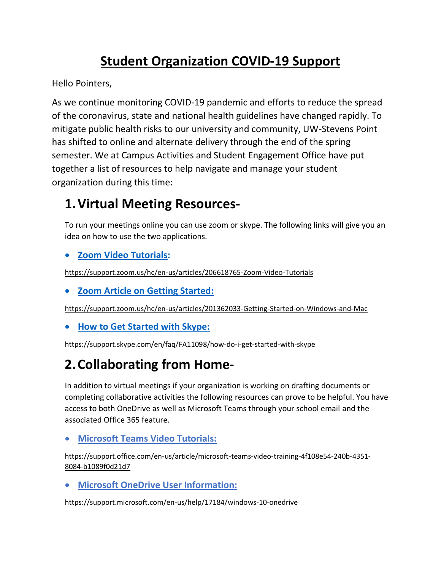## **Student Organization COVID-19 Support**

Hello Pointers,

As we continue monitoring COVID-19 pandemic and efforts to reduce the spread of the coronavirus, state and national health guidelines have changed rapidly. To mitigate public health risks to our university and community, UW-Stevens Point has shifted to online and alternate delivery through the end of the spring semester. We at Campus Activities and Student Engagement Office have put together a list of resources to help navigate and manage your student organization during this time:

### **1.Virtual Meeting Resources-**

To run your meetings online you can use zoom or skype. The following links will give you an idea on how to use the two applications.

#### • **Zoom [Video Tutorials:](https://support.zoom.us/hc/en-us/articles/206618765-Zoom-Video-Tutorials)**

<https://support.zoom.us/hc/en-us/articles/206618765-Zoom-Video-Tutorials>

• **[Zoom Article on Getting Started:](https://support.zoom.us/hc/en-us/articles/201362033-Getting-Started-on-Windows-and-Mac)**

<https://support.zoom.us/hc/en-us/articles/201362033-Getting-Started-on-Windows-and-Mac>

• **[How to Get Started with Skype:](https://support.skype.com/en/faq/FA11098/how-do-i-get-started-with-skype)**

<https://support.skype.com/en/faq/FA11098/how-do-i-get-started-with-skype>

# **2.Collaborating from Home-**

In addition to virtual meetings if your organization is working on drafting documents or completing collaborative activities the following resources can prove to be helpful. You have access to both OneDrive as well as Microsoft Teams through your school email and the associated Office 365 feature.

#### • **[Microsoft Teams Video Tutorials:](https://support.office.com/en-us/article/microsoft-teams-video-training-4f108e54-240b-4351-8084-b1089f0d21d7)**

[https://support.office.com/en-us/article/microsoft-teams-video-training-4f108e54-240b-4351-](https://support.office.com/en-us/article/microsoft-teams-video-training-4f108e54-240b-4351-8084-b1089f0d21d7) [8084-b1089f0d21d7](https://support.office.com/en-us/article/microsoft-teams-video-training-4f108e54-240b-4351-8084-b1089f0d21d7)

• **[Microsoft OneDrive User Information:](https://support.microsoft.com/en-us/help/17184/windows-10-onedrive)**

<https://support.microsoft.com/en-us/help/17184/windows-10-onedrive>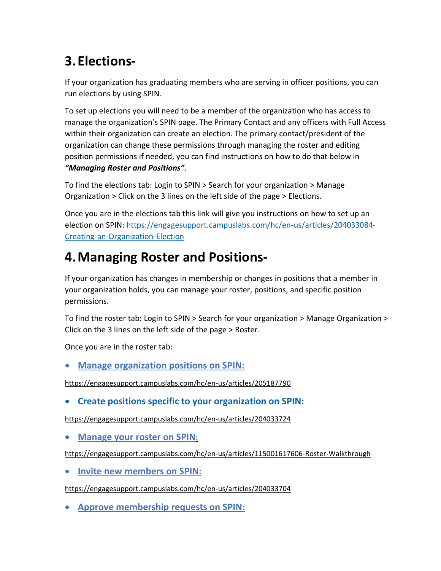# **3.Elections-**

If your organization has graduating members who are serving in officer positions, you can run elections by using SPIN.

To set up elections you will need to be a member of the organization who has access to manage the organization's SPIN page. The Primary Contact and any officers with Full Access within their organization can create an election. The primary contact/president of the organization can change these permissions through managing the roster and editing position permissions if needed, you can find instructions on how to do that below in *"Managing Roster and Positions"*.

To find the elections tab: Login to SPIN > Search for your organization > Manage Organization > Click on the 3 lines on the left side of the page > Elections.

Once you are in the elections tab this link will give you instructions on how to set up an election on SPIN: [https://engagesupport.campuslabs.com/hc/en-us/articles/204033084-](https://engagesupport.campuslabs.com/hc/en-us/articles/204033084-Creating-an-Organization-Election) [Creating-an-Organization-Election](https://engagesupport.campuslabs.com/hc/en-us/articles/204033084-Creating-an-Organization-Election)

## **4.Managing Roster and Positions-**

If your organization has changes in membership or changes in positions that a member in your organization holds, you can manage your roster, positions, and specific position permissions.

To find the roster tab: Login to SPIN > Search for your organization > Manage Organization > Click on the 3 lines on the left side of the page > Roster.

Once you are in the roster tab:

• **[Manage organization positions on SPIN:](https://engagesupport.campuslabs.com/hc/en-us/articles/205187790)**

<https://engagesupport.campuslabs.com/hc/en-us/articles/205187790>

• **[Create positions specific to your organization on SPIN:](https://engagesupport.campuslabs.com/hc/en-us/articles/204033724)**

<https://engagesupport.campuslabs.com/hc/en-us/articles/204033724>

• **[Manage your roster on SPIN](https://engagesupport.campuslabs.com/hc/en-us/articles/115001617606-Roster-Walkthrough)**:

<https://engagesupport.campuslabs.com/hc/en-us/articles/115001617606-Roster-Walkthrough>

• **[Invite new members on SPIN:](https://engagesupport.campuslabs.com/hc/en-us/articles/204033704)**

<https://engagesupport.campuslabs.com/hc/en-us/articles/204033704>

• **[Approve membership requests on](https://engagesupport.campuslabs.com/hc/en-us/articles/204033714) SPIN:**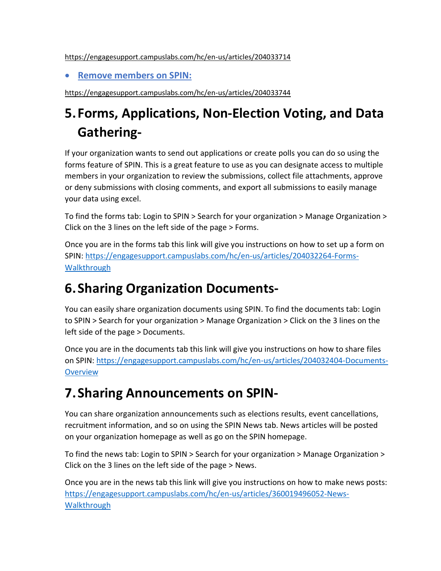<https://engagesupport.campuslabs.com/hc/en-us/articles/204033714>

• **[Remove members on SPIN:](https://engagesupport.campuslabs.com/hc/en-us/articles/204033744)**

<https://engagesupport.campuslabs.com/hc/en-us/articles/204033744>

# **5. Forms, Applications, Non-Election Voting, and Data Gathering-**

If your organization wants to send out applications or create polls you can do so using the forms feature of SPIN. This is a great feature to use as you can designate access to multiple members in your organization to review the submissions, collect file attachments, approve or deny submissions with closing comments, and export all submissions to easily manage your data using excel.

To find the forms tab: Login to SPIN > Search for your organization > Manage Organization > Click on the 3 lines on the left side of the page > Forms.

Once you are in the forms tab this link will give you instructions on how to set up a form on SPIN: [https://engagesupport.campuslabs.com/hc/en-us/articles/204032264-Forms-](https://engagesupport.campuslabs.com/hc/en-us/articles/204032264-Forms-Walkthrough)**[Walkthrough](https://engagesupport.campuslabs.com/hc/en-us/articles/204032264-Forms-Walkthrough)** 

## **6. Sharing Organization Documents-**

You can easily share organization documents using SPIN. To find the documents tab: Login to SPIN > Search for your organization > Manage Organization > Click on the 3 lines on the left side of the page > Documents.

Once you are in the documents tab this link will give you instructions on how to share files on SPIN: [https://engagesupport.campuslabs.com/hc/en-us/articles/204032404-Documents-](https://engagesupport.campuslabs.com/hc/en-us/articles/204032404-Documents-Overview)**[Overview](https://engagesupport.campuslabs.com/hc/en-us/articles/204032404-Documents-Overview)** 

## **7. Sharing Announcements on SPIN-**

You can share organization announcements such as elections results, event cancellations, recruitment information, and so on using the SPIN News tab. News articles will be posted on your organization homepage as well as go on the SPIN homepage.

To find the news tab: Login to SPIN > Search for your organization > Manage Organization > Click on the 3 lines on the left side of the page > News.

Once you are in the news tab this link will give you instructions on how to make news posts: [https://engagesupport.campuslabs.com/hc/en-us/articles/360019496052-News-](https://engagesupport.campuslabs.com/hc/en-us/articles/360019496052-News-Walkthrough)**[Walkthrough](https://engagesupport.campuslabs.com/hc/en-us/articles/360019496052-News-Walkthrough)**